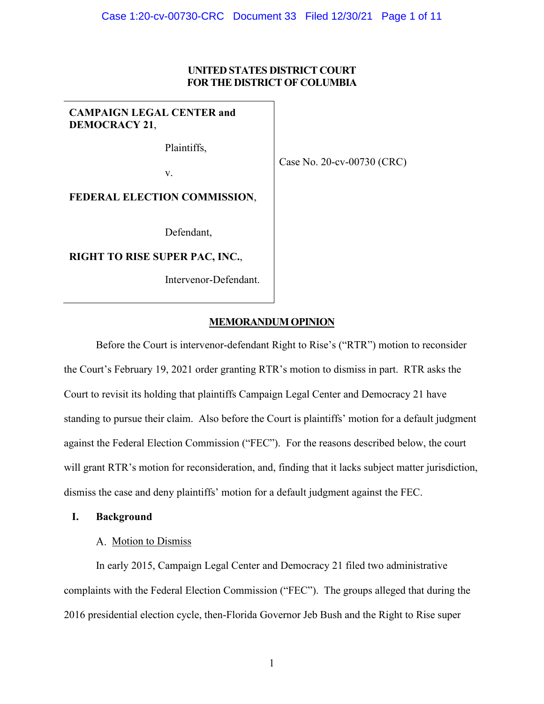## **UNITED STATES DISTRICT COURT FOR THE DISTRICT OF COLUMBIA**

# **CAMPAIGN LEGAL CENTER and DEMOCRACY 21**,

Plaintiffs,

Case No. 20-cv-00730 (CRC)

v.

**FEDERAL ELECTION COMMISSION**,

Defendant,

**RIGHT TO RISE SUPER PAC, INC.**,

Intervenor-Defendant.

# **MEMORANDUM OPINION**

Before the Court is intervenor-defendant Right to Rise's ("RTR") motion to reconsider the Court's February 19, 2021 order granting RTR's motion to dismiss in part. RTR asks the Court to revisit its holding that plaintiffs Campaign Legal Center and Democracy 21 have standing to pursue their claim. Also before the Court is plaintiffs' motion for a default judgment against the Federal Election Commission ("FEC"). For the reasons described below, the court will grant RTR's motion for reconsideration, and, finding that it lacks subject matter jurisdiction, dismiss the case and deny plaintiffs' motion for a default judgment against the FEC.

### **I. Background**

# A. Motion to Dismiss

In early 2015, Campaign Legal Center and Democracy 21 filed two administrative complaints with the Federal Election Commission ("FEC"). The groups alleged that during the 2016 presidential election cycle, then-Florida Governor Jeb Bush and the Right to Rise super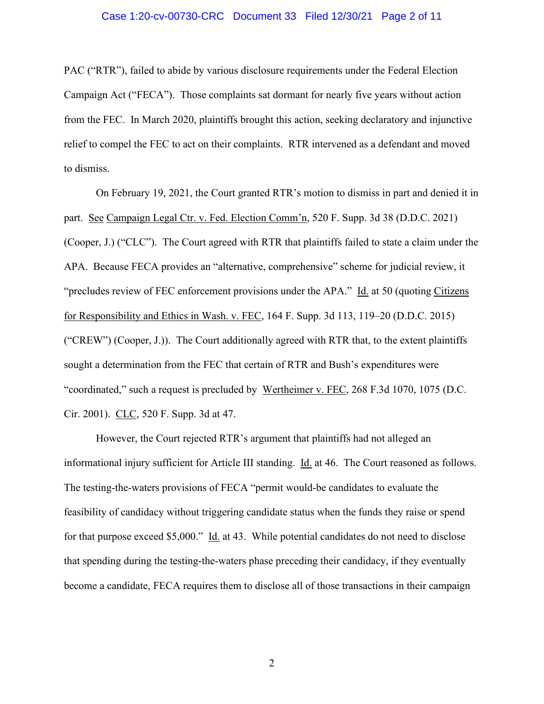#### Case 1:20-cv-00730-CRC Document 33 Filed 12/30/21 Page 2 of 11

PAC ("RTR"), failed to abide by various disclosure requirements under the Federal Election Campaign Act ("FECA"). Those complaints sat dormant for nearly five years without action from the FEC. In March 2020, plaintiffs brought this action, seeking declaratory and injunctive relief to compel the FEC to act on their complaints. RTR intervened as a defendant and moved to dismiss.

On February 19, 2021, the Court granted RTR's motion to dismiss in part and denied it in part. See Campaign Legal Ctr. v. Fed. Election Comm'n, 520 F. Supp. 3d 38 (D.D.C. 2021) (Cooper, J.) ("CLC"). The Court agreed with RTR that plaintiffs failed to state a claim under the APA. Because FECA provides an "alternative, comprehensive" scheme for judicial review, it "precludes review of FEC enforcement provisions under the APA." Id. at 50 (quoting Citizens for Responsibility and Ethics in Wash. v. FEC, 164 F. Supp. 3d 113, 119–20 (D.D.C. 2015) ("CREW") (Cooper, J.)). The Court additionally agreed with RTR that, to the extent plaintiffs sought a determination from the FEC that certain of RTR and Bush's expenditures were "coordinated," such a request is precluded by Wertheimer v. FEC, 268 F.3d 1070, 1075 (D.C. Cir. 2001). CLC, 520 F. Supp. 3d at 47.

However, the Court rejected RTR's argument that plaintiffs had not alleged an informational injury sufficient for Article III standing. Id. at 46. The Court reasoned as follows. The testing-the-waters provisions of FECA "permit would-be candidates to evaluate the feasibility of candidacy without triggering candidate status when the funds they raise or spend for that purpose exceed \$5,000." Id. at 43. While potential candidates do not need to disclose that spending during the testing-the-waters phase preceding their candidacy, if they eventually become a candidate, FECA requires them to disclose all of those transactions in their campaign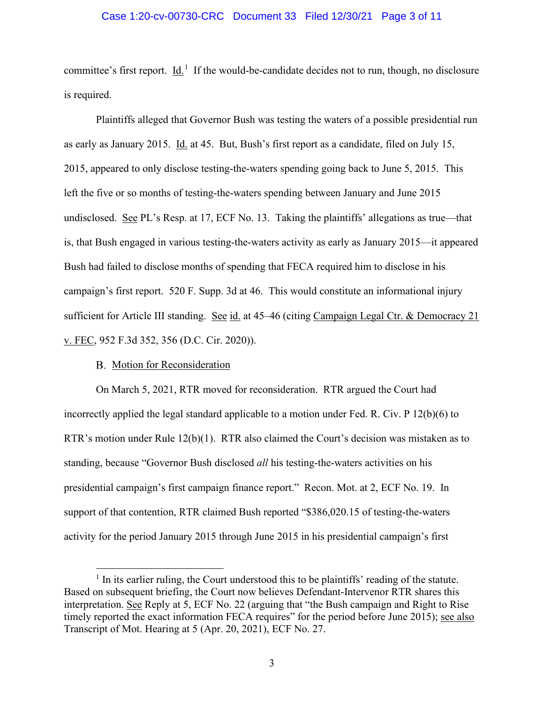#### Case 1:20-cv-00730-CRC Document 33 Filed 12/30/21 Page 3 of 11

committee's first report.  $\underline{Id}$ <sup>[1](#page-2-0)</sup>. If the would-be-candidate decides not to run, though, no disclosure is required.

Plaintiffs alleged that Governor Bush was testing the waters of a possible presidential run as early as January 2015. Id. at 45. But, Bush's first report as a candidate, filed on July 15, 2015, appeared to only disclose testing-the-waters spending going back to June 5, 2015. This left the five or so months of testing-the-waters spending between January and June 2015 undisclosed. See PL's Resp. at 17, ECF No. 13. Taking the plaintiffs' allegations as true—that is, that Bush engaged in various testing-the-waters activity as early as January 2015—it appeared Bush had failed to disclose months of spending that FECA required him to disclose in his campaign's first report. 520 F. Supp. 3d at 46. This would constitute an informational injury sufficient for Article III standing. See id. at 45–46 (citing Campaign Legal Ctr. & Democracy 21 v. FEC, 952 F.3d 352, 356 (D.C. Cir. 2020)).

# B. Motion for Reconsideration

On March 5, 2021, RTR moved for reconsideration. RTR argued the Court had incorrectly applied the legal standard applicable to a motion under Fed. R. Civ. P 12(b)(6) to RTR's motion under Rule 12(b)(1). RTR also claimed the Court's decision was mistaken as to standing, because "Governor Bush disclosed *all* his testing-the-waters activities on his presidential campaign's first campaign finance report." Recon. Mot. at 2, ECF No. 19. In support of that contention, RTR claimed Bush reported "\$386,020.15 of testing-the-waters activity for the period January 2015 through June 2015 in his presidential campaign's first

<span id="page-2-0"></span> $<sup>1</sup>$  In its earlier ruling, the Court understood this to be plaintiffs' reading of the statute.</sup> Based on subsequent briefing, the Court now believes Defendant-Intervenor RTR shares this interpretation. See Reply at 5, ECF No. 22 (arguing that "the Bush campaign and Right to Rise timely reported the exact information FECA requires" for the period before June 2015); see also Transcript of Mot. Hearing at 5 (Apr. 20, 2021), ECF No. 27.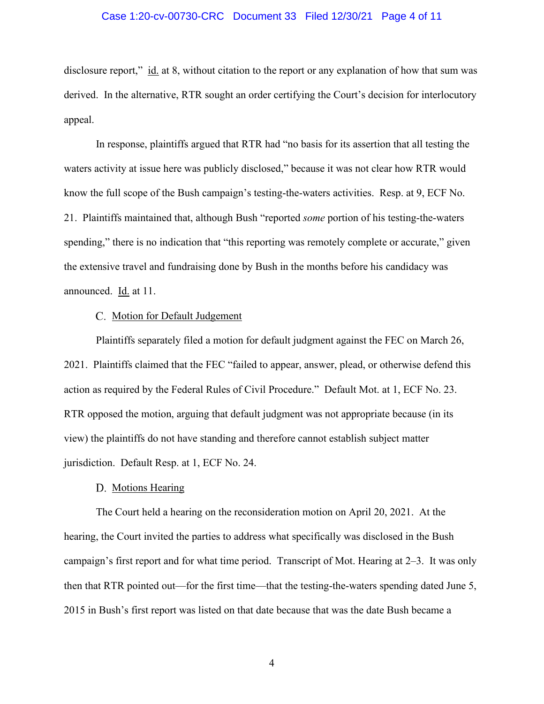#### Case 1:20-cv-00730-CRC Document 33 Filed 12/30/21 Page 4 of 11

disclosure report," id. at 8, without citation to the report or any explanation of how that sum was derived. In the alternative, RTR sought an order certifying the Court's decision for interlocutory appeal.

In response, plaintiffs argued that RTR had "no basis for its assertion that all testing the waters activity at issue here was publicly disclosed," because it was not clear how RTR would know the full scope of the Bush campaign's testing-the-waters activities. Resp. at 9, ECF No. 21. Plaintiffs maintained that, although Bush "reported *some* portion of his testing-the-waters spending," there is no indication that "this reporting was remotely complete or accurate," given the extensive travel and fundraising done by Bush in the months before his candidacy was announced. Id. at 11.

### C. Motion for Default Judgement

Plaintiffs separately filed a motion for default judgment against the FEC on March 26, 2021. Plaintiffs claimed that the FEC "failed to appear, answer, plead, or otherwise defend this action as required by the Federal Rules of Civil Procedure." Default Mot. at 1, ECF No. 23. RTR opposed the motion, arguing that default judgment was not appropriate because (in its view) the plaintiffs do not have standing and therefore cannot establish subject matter jurisdiction. Default Resp. at 1, ECF No. 24.

#### D. Motions Hearing

The Court held a hearing on the reconsideration motion on April 20, 2021. At the hearing, the Court invited the parties to address what specifically was disclosed in the Bush campaign's first report and for what time period. Transcript of Mot. Hearing at 2–3. It was only then that RTR pointed out—for the first time—that the testing-the-waters spending dated June 5, 2015 in Bush's first report was listed on that date because that was the date Bush became a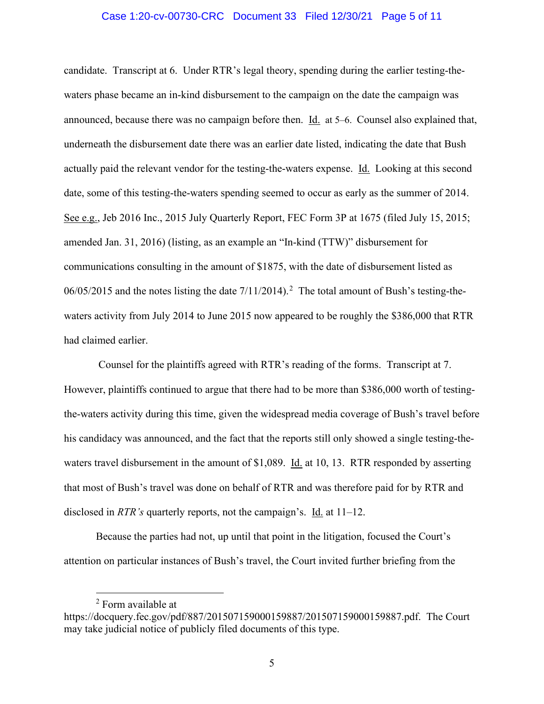#### Case 1:20-cv-00730-CRC Document 33 Filed 12/30/21 Page 5 of 11

candidate. Transcript at 6. Under RTR's legal theory, spending during the earlier testing-thewaters phase became an in-kind disbursement to the campaign on the date the campaign was announced, because there was no campaign before then. Id. at 5–6. Counsel also explained that, underneath the disbursement date there was an earlier date listed, indicating the date that Bush actually paid the relevant vendor for the testing-the-waters expense. Id. Looking at this second date, some of this testing-the-waters spending seemed to occur as early as the summer of 2014. See e.g., Jeb 2016 Inc., 2015 July Quarterly Report, FEC Form 3P at 1675 (filed July 15, 2015; amended Jan. 31, 2016) (listing, as an example an "In-kind (TTW)" disbursement for communications consulting in the amount of \$1875, with the date of disbursement listed as  $06/05/2015$  $06/05/2015$  $06/05/2015$  and the notes listing the date  $7/11/2014$ ).<sup>2</sup> The total amount of Bush's testing-thewaters activity from July 2014 to June 2015 now appeared to be roughly the \$386,000 that RTR had claimed earlier.

Counsel for the plaintiffs agreed with RTR's reading of the forms. Transcript at 7. However, plaintiffs continued to argue that there had to be more than \$386,000 worth of testingthe-waters activity during this time, given the widespread media coverage of Bush's travel before his candidacy was announced, and the fact that the reports still only showed a single testing-thewaters travel disbursement in the amount of \$1,089. Id. at 10, 13. RTR responded by asserting that most of Bush's travel was done on behalf of RTR and was therefore paid for by RTR and disclosed in *RTR's* quarterly reports, not the campaign's. Id. at 11–12.

Because the parties had not, up until that point in the litigation, focused the Court's attention on particular instances of Bush's travel, the Court invited further briefing from the

<sup>2</sup> Form available at

<span id="page-4-0"></span>https://docquery.fec.gov/pdf/887/201507159000159887/201507159000159887.pdf. The Court may take judicial notice of publicly filed documents of this type.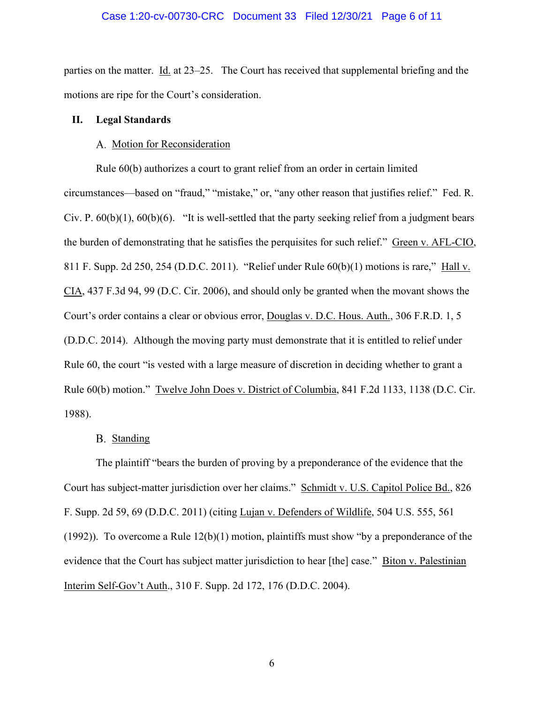#### Case 1:20-cv-00730-CRC Document 33 Filed 12/30/21 Page 6 of 11

parties on the matter. Id. at  $23-25$ . The Court has received that supplemental briefing and the motions are ripe for the Court's consideration.

#### **II. Legal Standards**

#### A. Motion for Reconsideration

Rule 60(b) authorizes a court to grant relief from an order in certain limited circumstances—based on "fraud," "mistake," or, "any other reason that justifies relief." Fed. R. Civ. P.  $60(b)(1)$ ,  $60(b)(6)$ . "It is well-settled that the party seeking relief from a judgment bears the burden of demonstrating that he satisfies the perquisites for such relief." Green v. AFL-CIO, 811 F. Supp. 2d 250, 254 (D.D.C. 2011). "Relief under Rule 60(b)(1) motions is rare," Hall v. CIA, 437 F.3d 94, 99 (D.C. Cir. 2006), and should only be granted when the movant shows the Court's order contains a clear or obvious error, Douglas v. D.C. Hous. Auth., 306 F.R.D. 1, 5 (D.D.C. 2014). Although the moving party must demonstrate that it is entitled to relief under Rule 60, the court "is vested with a large measure of discretion in deciding whether to grant a Rule 60(b) motion." Twelve John Does v. District of Columbia, 841 F.2d 1133, 1138 (D.C. Cir. 1988).

## B. Standing

The plaintiff "bears the burden of proving by a preponderance of the evidence that the Court has subject-matter jurisdiction over her claims." Schmidt v. U.S. Capitol Police Bd., 826 F. Supp. 2d 59, 69 (D.D.C. 2011) (citing Lujan v. Defenders of Wildlife, 504 U.S. 555, 561 (1992)). To overcome a Rule  $12(b)(1)$  motion, plaintiffs must show "by a preponderance of the evidence that the Court has subject matter jurisdiction to hear [the] case." Biton v. Palestinian Interim Self-Gov't Auth., 310 F. Supp. 2d 172, 176 (D.D.C. 2004).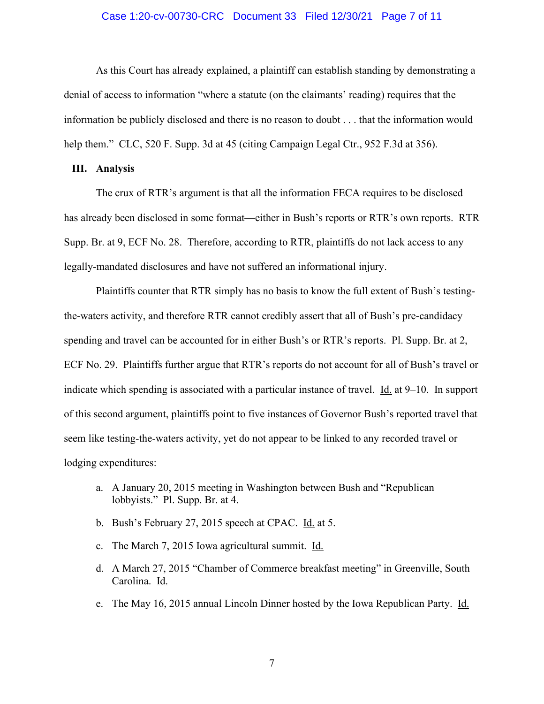#### Case 1:20-cv-00730-CRC Document 33 Filed 12/30/21 Page 7 of 11

As this Court has already explained, a plaintiff can establish standing by demonstrating a denial of access to information "where a statute (on the claimants' reading) requires that the information be publicly disclosed and there is no reason to doubt . . . that the information would help them." CLC, 520 F. Supp. 3d at 45 (citing Campaign Legal Ctr., 952 F.3d at 356).

## **III. Analysis**

The crux of RTR's argument is that all the information FECA requires to be disclosed has already been disclosed in some format—either in Bush's reports or RTR's own reports. RTR Supp. Br. at 9, ECF No. 28. Therefore, according to RTR, plaintiffs do not lack access to any legally-mandated disclosures and have not suffered an informational injury.

Plaintiffs counter that RTR simply has no basis to know the full extent of Bush's testingthe-waters activity, and therefore RTR cannot credibly assert that all of Bush's pre-candidacy spending and travel can be accounted for in either Bush's or RTR's reports. Pl. Supp. Br. at 2, ECF No. 29. Plaintiffs further argue that RTR's reports do not account for all of Bush's travel or indicate which spending is associated with a particular instance of travel. Id. at 9–10. In support of this second argument, plaintiffs point to five instances of Governor Bush's reported travel that seem like testing-the-waters activity, yet do not appear to be linked to any recorded travel or lodging expenditures:

- a. A January 20, 2015 meeting in Washington between Bush and "Republican lobbyists." Pl. Supp. Br. at 4.
- b. Bush's February 27, 2015 speech at CPAC. Id. at 5.
- c. The March 7, 2015 Iowa agricultural summit. Id.
- d. A March 27, 2015 "Chamber of Commerce breakfast meeting" in Greenville, South Carolina. Id.
- e. The May 16, 2015 annual Lincoln Dinner hosted by the Iowa Republican Party. Id.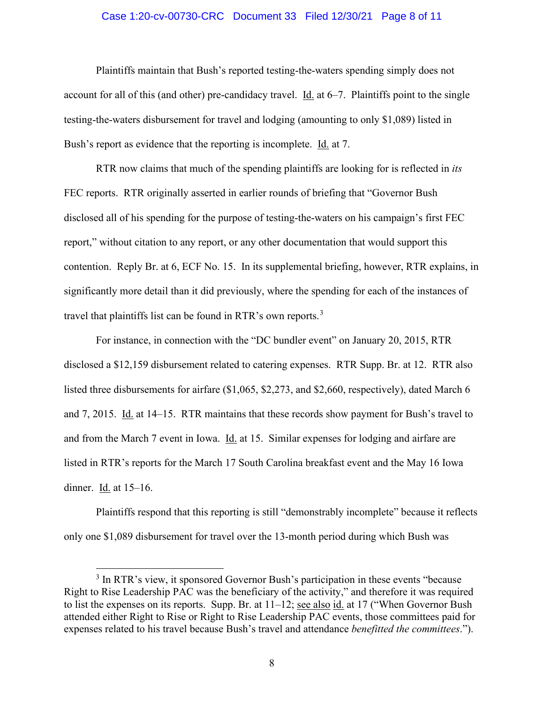#### Case 1:20-cv-00730-CRC Document 33 Filed 12/30/21 Page 8 of 11

Plaintiffs maintain that Bush's reported testing-the-waters spending simply does not account for all of this (and other) pre-candidacy travel. Id. at 6–7. Plaintiffs point to the single testing-the-waters disbursement for travel and lodging (amounting to only \$1,089) listed in Bush's report as evidence that the reporting is incomplete. Id. at 7.

RTR now claims that much of the spending plaintiffs are looking for is reflected in *its* FEC reports. RTR originally asserted in earlier rounds of briefing that "Governor Bush disclosed all of his spending for the purpose of testing-the-waters on his campaign's first FEC report," without citation to any report, or any other documentation that would support this contention. Reply Br. at 6, ECF No. 15. In its supplemental briefing, however, RTR explains, in significantly more detail than it did previously, where the spending for each of the instances of travel that plaintiffs list can be found in RTR's own reports.<sup>[3](#page-7-0)</sup>

For instance, in connection with the "DC bundler event" on January 20, 2015, RTR disclosed a \$12,159 disbursement related to catering expenses. RTR Supp. Br. at 12. RTR also listed three disbursements for airfare (\$1,065, \$2,273, and \$2,660, respectively), dated March 6 and 7, 2015. Id. at 14–15. RTR maintains that these records show payment for Bush's travel to and from the March 7 event in Iowa. Id. at 15. Similar expenses for lodging and airfare are listed in RTR's reports for the March 17 South Carolina breakfast event and the May 16 Iowa dinner. Id. at 15–16.

Plaintiffs respond that this reporting is still "demonstrably incomplete" because it reflects only one \$1,089 disbursement for travel over the 13-month period during which Bush was

<span id="page-7-0"></span><sup>&</sup>lt;sup>3</sup> In RTR's view, it sponsored Governor Bush's participation in these events "because" Right to Rise Leadership PAC was the beneficiary of the activity," and therefore it was required to list the expenses on its reports. Supp. Br. at 11–12; see also id. at 17 ("When Governor Bush attended either Right to Rise or Right to Rise Leadership PAC events, those committees paid for expenses related to his travel because Bush's travel and attendance *benefitted the committees*.").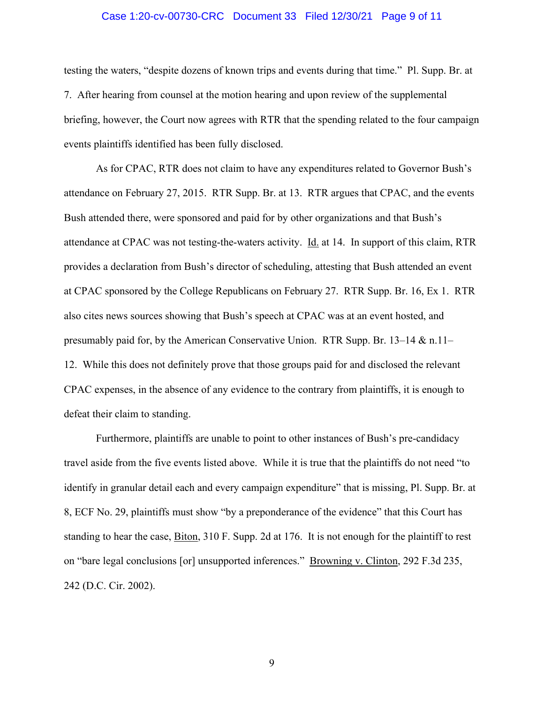#### Case 1:20-cv-00730-CRC Document 33 Filed 12/30/21 Page 9 of 11

testing the waters, "despite dozens of known trips and events during that time." Pl. Supp. Br. at 7. After hearing from counsel at the motion hearing and upon review of the supplemental briefing, however, the Court now agrees with RTR that the spending related to the four campaign events plaintiffs identified has been fully disclosed.

As for CPAC, RTR does not claim to have any expenditures related to Governor Bush's attendance on February 27, 2015. RTR Supp. Br. at 13. RTR argues that CPAC, and the events Bush attended there, were sponsored and paid for by other organizations and that Bush's attendance at CPAC was not testing-the-waters activity. Id. at 14. In support of this claim, RTR provides a declaration from Bush's director of scheduling, attesting that Bush attended an event at CPAC sponsored by the College Republicans on February 27. RTR Supp. Br. 16, Ex 1. RTR also cites news sources showing that Bush's speech at CPAC was at an event hosted, and presumably paid for, by the American Conservative Union. RTR Supp. Br. 13–14 & n.11– 12. While this does not definitely prove that those groups paid for and disclosed the relevant CPAC expenses, in the absence of any evidence to the contrary from plaintiffs, it is enough to defeat their claim to standing.

Furthermore, plaintiffs are unable to point to other instances of Bush's pre-candidacy travel aside from the five events listed above. While it is true that the plaintiffs do not need "to identify in granular detail each and every campaign expenditure" that is missing, Pl. Supp. Br. at 8, ECF No. 29, plaintiffs must show "by a preponderance of the evidence" that this Court has standing to hear the case, Biton, 310 F. Supp. 2d at 176. It is not enough for the plaintiff to rest on "bare legal conclusions [or] unsupported inferences." Browning v. Clinton, 292 F.3d 235, 242 (D.C. Cir. 2002).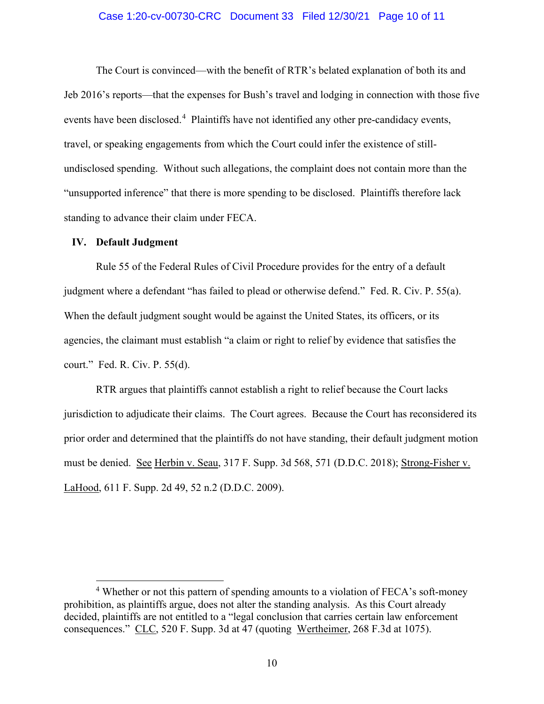#### Case 1:20-cv-00730-CRC Document 33 Filed 12/30/21 Page 10 of 11

The Court is convinced—with the benefit of RTR's belated explanation of both its and Jeb 2016's reports—that the expenses for Bush's travel and lodging in connection with those five events have been disclosed.<sup>[4](#page-9-0)</sup> Plaintiffs have not identified any other pre-candidacy events, travel, or speaking engagements from which the Court could infer the existence of stillundisclosed spending. Without such allegations, the complaint does not contain more than the "unsupported inference" that there is more spending to be disclosed. Plaintiffs therefore lack standing to advance their claim under FECA.

### **IV. Default Judgment**

Rule 55 of the Federal Rules of Civil Procedure provides for the entry of a default judgment where a defendant "has failed to plead or otherwise defend." Fed. R. Civ. P. 55(a). When the default judgment sought would be against the United States, its officers, or its agencies, the claimant must establish "a claim or right to relief by evidence that satisfies the court." Fed. R. Civ. P. 55(d).

RTR argues that plaintiffs cannot establish a right to relief because the Court lacks jurisdiction to adjudicate their claims. The Court agrees. Because the Court has reconsidered its prior order and determined that the plaintiffs do not have standing, their default judgment motion must be denied. See Herbin v. Seau, 317 F. Supp. 3d 568, 571 (D.D.C. 2018); Strong-Fisher v. LaHood, 611 F. Supp. 2d 49, 52 n.2 (D.D.C. 2009).

<span id="page-9-0"></span><sup>&</sup>lt;sup>4</sup> Whether or not this pattern of spending amounts to a violation of FECA's soft-money prohibition, as plaintiffs argue, does not alter the standing analysis. As this Court already decided, plaintiffs are not entitled to a "legal conclusion that carries certain law enforcement consequences." CLC, 520 F. Supp. 3d at 47 (quoting Wertheimer, 268 F.3d at 1075).